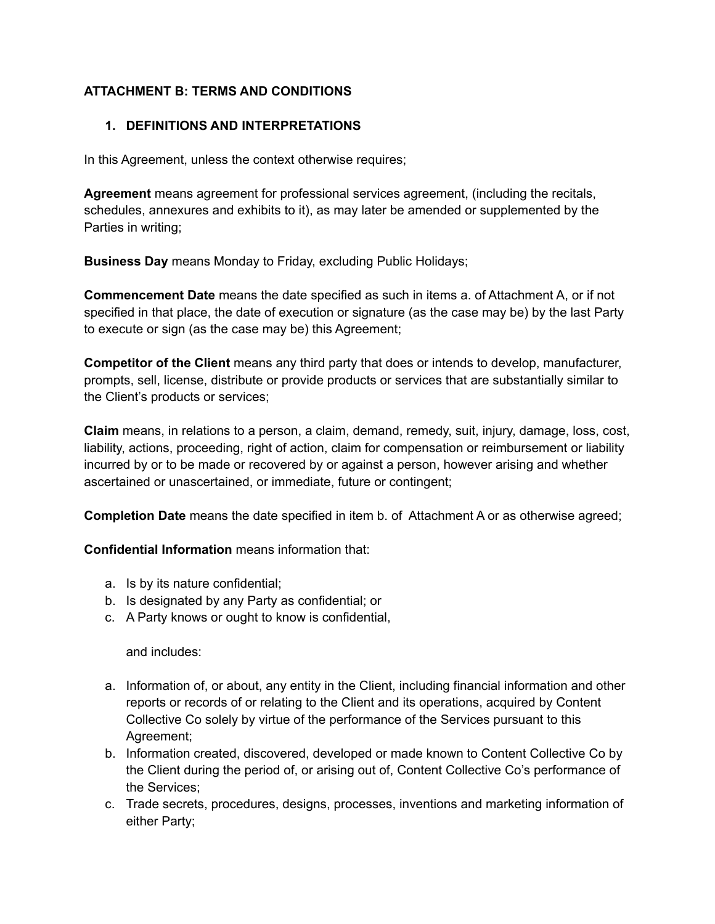## **ATTACHMENT B: TERMS AND CONDITIONS**

### **1. DEFINITIONS AND INTERPRETATIONS**

In this Agreement, unless the context otherwise requires;

**Agreement** means agreement for professional services agreement, (including the recitals, schedules, annexures and exhibits to it), as may later be amended or supplemented by the Parties in writing;

**Business Day** means Monday to Friday, excluding Public Holidays;

**Commencement Date** means the date specified as such in items a. of Attachment A, or if not specified in that place, the date of execution or signature (as the case may be) by the last Party to execute or sign (as the case may be) this Agreement;

**Competitor of the Client** means any third party that does or intends to develop, manufacturer, prompts, sell, license, distribute or provide products or services that are substantially similar to the Client's products or services;

**Claim** means, in relations to a person, a claim, demand, remedy, suit, injury, damage, loss, cost, liability, actions, proceeding, right of action, claim for compensation or reimbursement or liability incurred by or to be made or recovered by or against a person, however arising and whether ascertained or unascertained, or immediate, future or contingent;

**Completion Date** means the date specified in item b. of Attachment A or as otherwise agreed;

**Confidential Information** means information that:

- a. Is by its nature confidential;
- b. Is designated by any Party as confidential; or
- c. A Party knows or ought to know is confidential,

and includes:

- a. Information of, or about, any entity in the Client, including financial information and other reports or records of or relating to the Client and its operations, acquired by Content Collective Co solely by virtue of the performance of the Services pursuant to this Agreement;
- b. Information created, discovered, developed or made known to Content Collective Co by the Client during the period of, or arising out of, Content Collective Co's performance of the Services;
- c. Trade secrets, procedures, designs, processes, inventions and marketing information of either Party;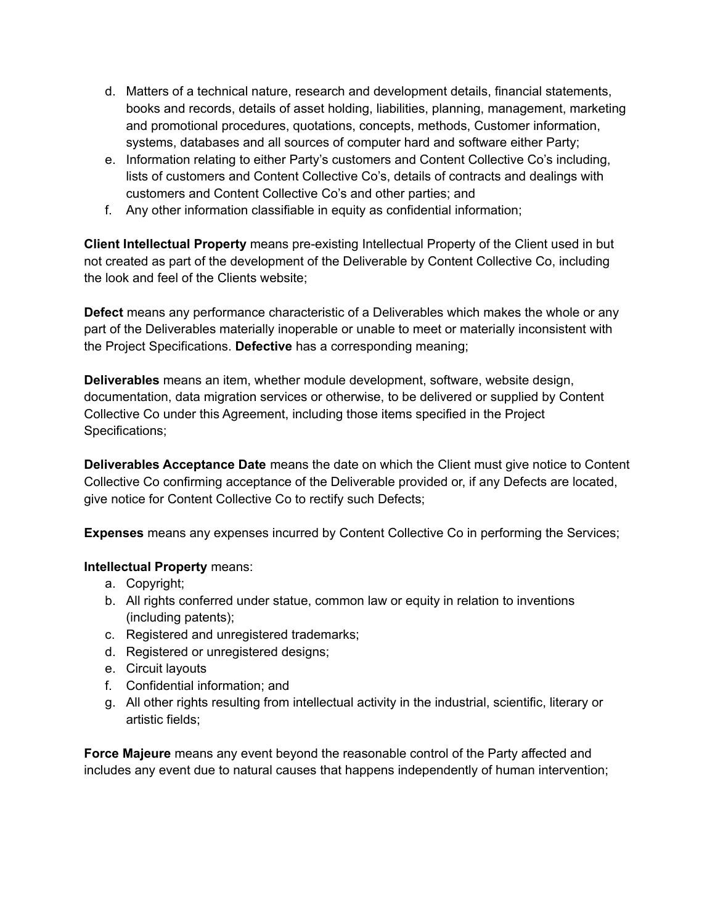- d. Matters of a technical nature, research and development details, financial statements, books and records, details of asset holding, liabilities, planning, management, marketing and promotional procedures, quotations, concepts, methods, Customer information, systems, databases and all sources of computer hard and software either Party;
- e. Information relating to either Party's customers and Content Collective Co's including, lists of customers and Content Collective Co's, details of contracts and dealings with customers and Content Collective Co's and other parties; and
- f. Any other information classifiable in equity as confidential information;

**Client Intellectual Property** means pre-existing Intellectual Property of the Client used in but not created as part of the development of the Deliverable by Content Collective Co, including the look and feel of the Clients website;

**Defect** means any performance characteristic of a Deliverables which makes the whole or any part of the Deliverables materially inoperable or unable to meet or materially inconsistent with the Project Specifications. **Defective** has a corresponding meaning;

**Deliverables** means an item, whether module development, software, website design, documentation, data migration services or otherwise, to be delivered or supplied by Content Collective Co under this Agreement, including those items specified in the Project Specifications;

**Deliverables Acceptance Date** means the date on which the Client must give notice to Content Collective Co confirming acceptance of the Deliverable provided or, if any Defects are located, give notice for Content Collective Co to rectify such Defects;

**Expenses** means any expenses incurred by Content Collective Co in performing the Services;

### **Intellectual Property** means:

- a. Copyright;
- b. All rights conferred under statue, common law or equity in relation to inventions (including patents);
- c. Registered and unregistered trademarks;
- d. Registered or unregistered designs;
- e. Circuit layouts
- f. Confidential information; and
- g. All other rights resulting from intellectual activity in the industrial, scientific, literary or artistic fields;

**Force Majeure** means any event beyond the reasonable control of the Party affected and includes any event due to natural causes that happens independently of human intervention;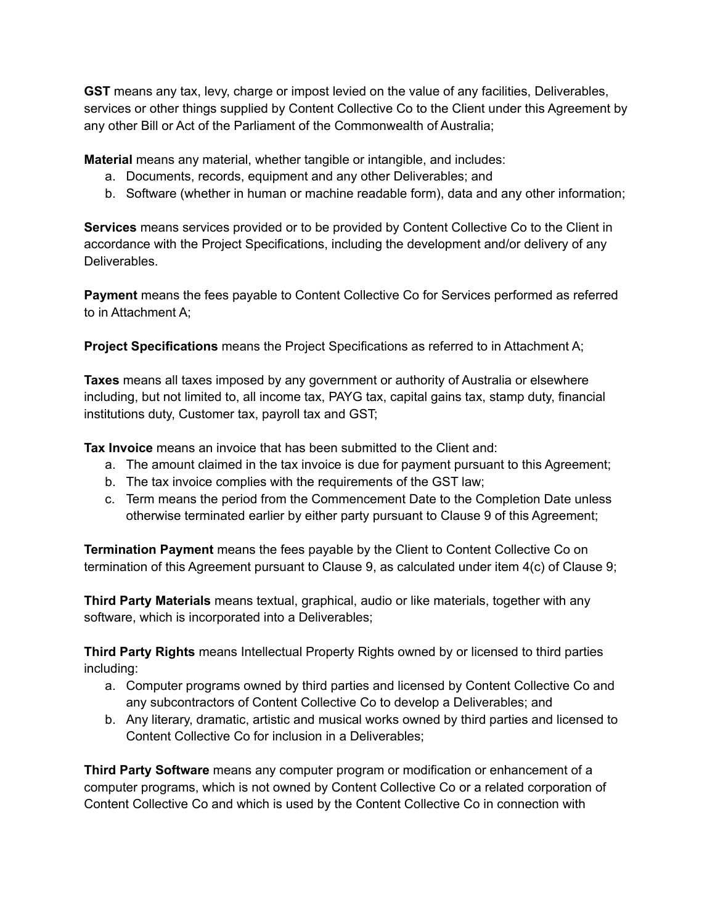**GST** means any tax, levy, charge or impost levied on the value of any facilities, Deliverables, services or other things supplied by Content Collective Co to the Client under this Agreement by any other Bill or Act of the Parliament of the Commonwealth of Australia;

**Material** means any material, whether tangible or intangible, and includes:

- a. Documents, records, equipment and any other Deliverables; and
- b. Software (whether in human or machine readable form), data and any other information;

**Services** means services provided or to be provided by Content Collective Co to the Client in accordance with the Project Specifications, including the development and/or delivery of any Deliverables.

**Payment** means the fees payable to Content Collective Co for Services performed as referred to in Attachment A;

**Project Specifications** means the Project Specifications as referred to in Attachment A;

**Taxes** means all taxes imposed by any government or authority of Australia or elsewhere including, but not limited to, all income tax, PAYG tax, capital gains tax, stamp duty, financial institutions duty, Customer tax, payroll tax and GST;

**Tax Invoice** means an invoice that has been submitted to the Client and:

- a. The amount claimed in the tax invoice is due for payment pursuant to this Agreement;
- b. The tax invoice complies with the requirements of the GST law;
- c. Term means the period from the Commencement Date to the Completion Date unless otherwise terminated earlier by either party pursuant to Clause 9 of this Agreement;

**Termination Payment** means the fees payable by the Client to Content Collective Co on termination of this Agreement pursuant to Clause 9, as calculated under item 4(c) of Clause 9;

**Third Party Materials** means textual, graphical, audio or like materials, together with any software, which is incorporated into a Deliverables;

**Third Party Rights** means Intellectual Property Rights owned by or licensed to third parties including:

- a. Computer programs owned by third parties and licensed by Content Collective Co and any subcontractors of Content Collective Co to develop a Deliverables; and
- b. Any literary, dramatic, artistic and musical works owned by third parties and licensed to Content Collective Co for inclusion in a Deliverables;

**Third Party Software** means any computer program or modification or enhancement of a computer programs, which is not owned by Content Collective Co or a related corporation of Content Collective Co and which is used by the Content Collective Co in connection with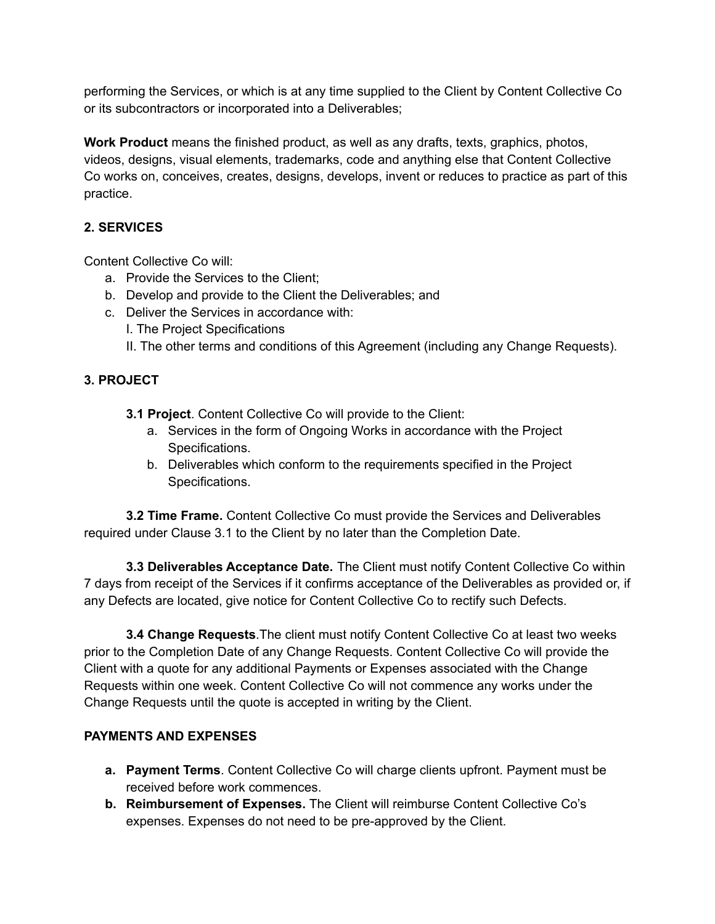performing the Services, or which is at any time supplied to the Client by Content Collective Co or its subcontractors or incorporated into a Deliverables;

**Work Product** means the finished product, as well as any drafts, texts, graphics, photos, videos, designs, visual elements, trademarks, code and anything else that Content Collective Co works on, conceives, creates, designs, develops, invent or reduces to practice as part of this practice.

### **2. SERVICES**

Content Collective Co will:

- a. Provide the Services to the Client;
- b. Develop and provide to the Client the Deliverables; and
- c. Deliver the Services in accordance with:
	- I. The Project Specifications
	- II. The other terms and conditions of this Agreement (including any Change Requests).

### **3. PROJECT**

- **3.1 Project**. Content Collective Co will provide to the Client:
	- a. Services in the form of Ongoing Works in accordance with the Project Specifications.
	- b. Deliverables which conform to the requirements specified in the Project Specifications.

**3.2 Time Frame.** Content Collective Co must provide the Services and Deliverables required under Clause 3.1 to the Client by no later than the Completion Date.

**3.3 Deliverables Acceptance Date.** The Client must notify Content Collective Co within 7 days from receipt of the Services if it confirms acceptance of the Deliverables as provided or, if any Defects are located, give notice for Content Collective Co to rectify such Defects.

**3.4 Change Requests**.The client must notify Content Collective Co at least two weeks prior to the Completion Date of any Change Requests. Content Collective Co will provide the Client with a quote for any additional Payments or Expenses associated with the Change Requests within one week. Content Collective Co will not commence any works under the Change Requests until the quote is accepted in writing by the Client.

### **PAYMENTS AND EXPENSES**

- **a. Payment Terms**. Content Collective Co will charge clients upfront. Payment must be received before work commences.
- **b. Reimbursement of Expenses.** The Client will reimburse Content Collective Co's expenses. Expenses do not need to be pre-approved by the Client.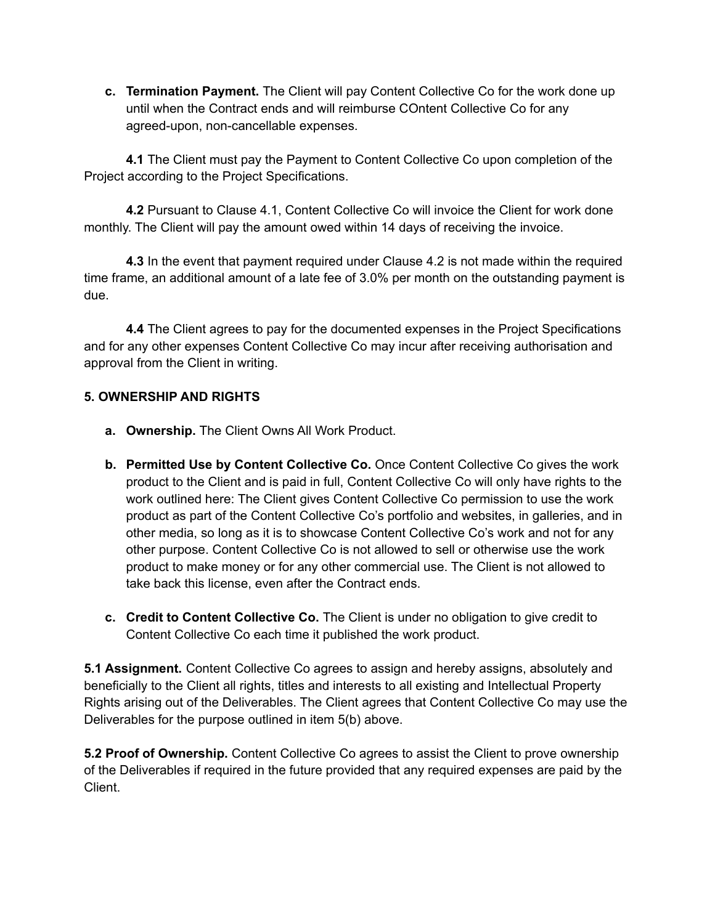**c. Termination Payment.** The Client will pay Content Collective Co for the work done up until when the Contract ends and will reimburse COntent Collective Co for any agreed-upon, non-cancellable expenses.

**4.1** The Client must pay the Payment to Content Collective Co upon completion of the Project according to the Project Specifications.

**4.2** Pursuant to Clause 4.1, Content Collective Co will invoice the Client for work done monthly. The Client will pay the amount owed within 14 days of receiving the invoice.

**4.3** In the event that payment required under Clause 4.2 is not made within the required time frame, an additional amount of a late fee of 3.0% per month on the outstanding payment is due.

**4.4** The Client agrees to pay for the documented expenses in the Project Specifications and for any other expenses Content Collective Co may incur after receiving authorisation and approval from the Client in writing.

### **5. OWNERSHIP AND RIGHTS**

- **a. Ownership.** The Client Owns All Work Product.
- **b. Permitted Use by Content Collective Co.** Once Content Collective Co gives the work product to the Client and is paid in full, Content Collective Co will only have rights to the work outlined here: The Client gives Content Collective Co permission to use the work product as part of the Content Collective Co's portfolio and websites, in galleries, and in other media, so long as it is to showcase Content Collective Co's work and not for any other purpose. Content Collective Co is not allowed to sell or otherwise use the work product to make money or for any other commercial use. The Client is not allowed to take back this license, even after the Contract ends.
- **c. Credit to Content Collective Co.** The Client is under no obligation to give credit to Content Collective Co each time it published the work product.

**5.1 Assignment.** Content Collective Co agrees to assign and hereby assigns, absolutely and beneficially to the Client all rights, titles and interests to all existing and Intellectual Property Rights arising out of the Deliverables. The Client agrees that Content Collective Co may use the Deliverables for the purpose outlined in item 5(b) above.

**5.2 Proof of Ownership.** Content Collective Co agrees to assist the Client to prove ownership of the Deliverables if required in the future provided that any required expenses are paid by the Client.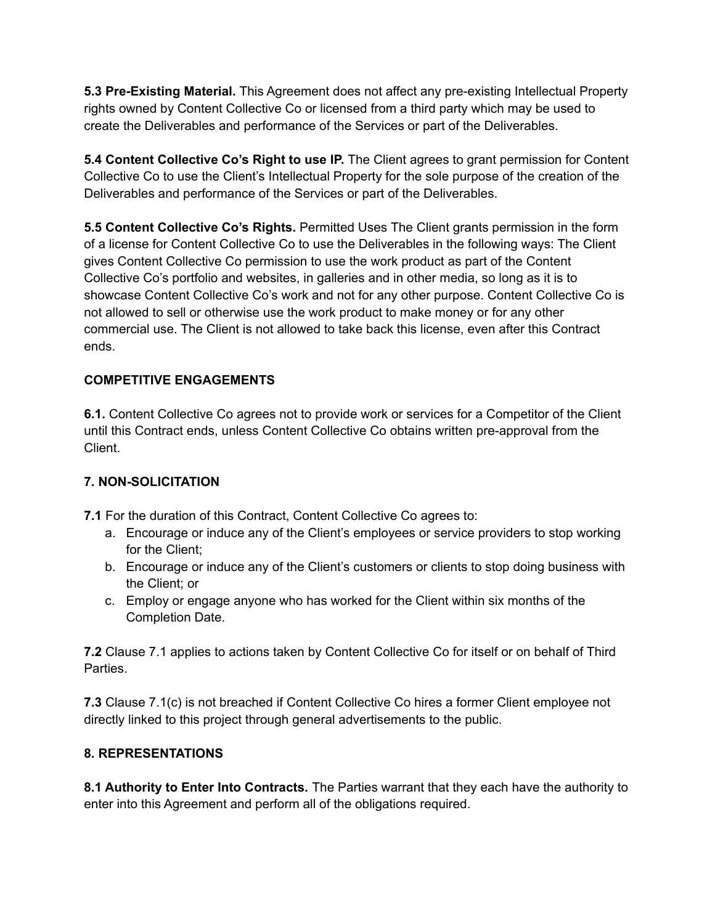**5.3 Pre-Existing Material.** This Agreement does not affect any pre-existing Intellectual Property rights owned by Content Collective Co or licensed from a third party which may be used to create the Deliverables and performance of the Services or part of the Deliverables.

**5.4 Content Collective Co's Right to use IP.** The Client agrees to grant permission for Content Collective Co to use the Client's Intellectual Property for the sole purpose of the creation of the Deliverables and performance of the Services or part of the Deliverables.

**5.5 Content Collective Co's Rights.** Permitted Uses The Client grants permission in the form of a license for Content Collective Co to use the Deliverables in the following ways: The Client gives Content Collective Co permission to use the work product as part of the Content Collective Co's portfolio and websites, in galleries and in other media, so long as it is to showcase Content Collective Co's work and not for any other purpose. Content Collective Co is not allowed to sell or otherwise use the work product to make money or for any other commercial use. The Client is not allowed to take back this license, even after this Contract ends.

## **COMPETITIVE ENGAGEMENTS**

**6.1.** Content Collective Co agrees not to provide work or services for a Competitor of the Client until this Contract ends, unless Content Collective Co obtains written pre-approval from the Client.

# **7. NON-SOLICITATION**

**7.1** For the duration of this Contract, Content Collective Co agrees to:

- a. Encourage or induce any of the Client's employees or service providers to stop working for the Client;
- b. Encourage or induce any of the Client's customers or clients to stop doing business with the Client; or
- c. Employ or engage anyone who has worked for the Client within six months of the Completion Date.

**7.2** Clause 7.1 applies to actions taken by Content Collective Co for itself or on behalf of Third Parties.

**7.3** Clause 7.1(c) is not breached if Content Collective Co hires a former Client employee not directly linked to this project through general advertisements to the public.

# **8. REPRESENTATIONS**

**8.1 Authority to Enter Into Contracts.** The Parties warrant that they each have the authority to enter into this Agreement and perform all of the obligations required.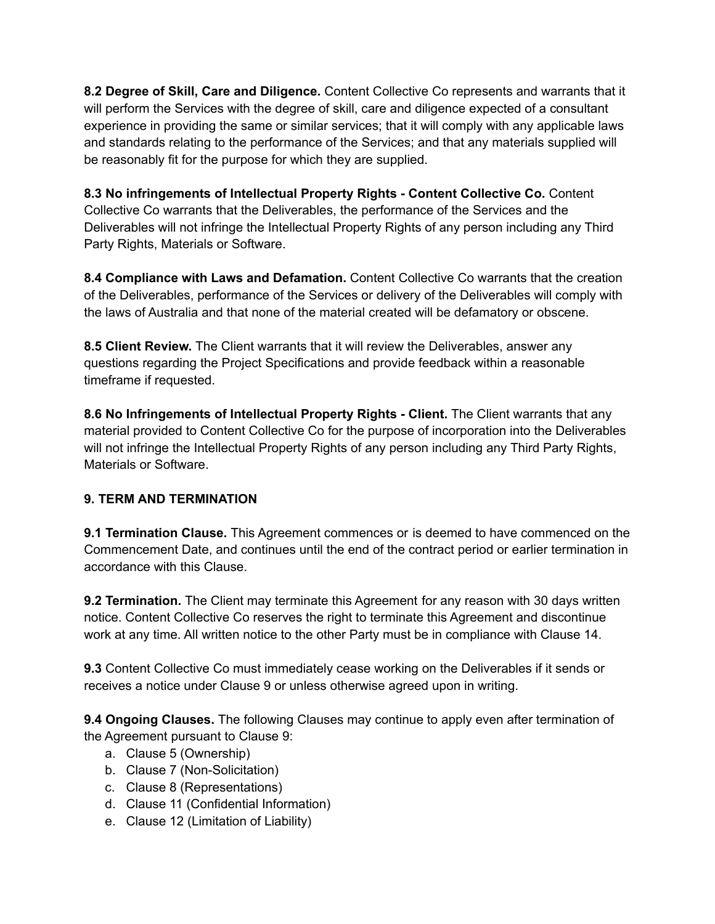**8.2 Degree of Skill, Care and Diligence.** Content Collective Co represents and warrants that it will perform the Services with the degree of skill, care and diligence expected of a consultant experience in providing the same or similar services; that it will comply with any applicable laws and standards relating to the performance of the Services; and that any materials supplied will be reasonably fit for the purpose for which they are supplied.

**8.3 No infringements of Intellectual Property Rights - Content Collective Co.** Content Collective Co warrants that the Deliverables, the performance of the Services and the Deliverables will not infringe the Intellectual Property Rights of any person including any Third Party Rights, Materials or Software.

**8.4 Compliance with Laws and Defamation.** Content Collective Co warrants that the creation of the Deliverables, performance of the Services or delivery of the Deliverables will comply with the laws of Australia and that none of the material created will be defamatory or obscene.

**8.5 Client Review.** The Client warrants that it will review the Deliverables, answer any questions regarding the Project Specifications and provide feedback within a reasonable timeframe if requested.

**8.6 No Infringements of Intellectual Property Rights - Client.** The Client warrants that any material provided to Content Collective Co for the purpose of incorporation into the Deliverables will not infringe the Intellectual Property Rights of any person including any Third Party Rights, Materials or Software.

### **9. TERM AND TERMINATION**

**9.1 Termination Clause.** This Agreement commences or is deemed to have commenced on the Commencement Date, and continues until the end of the contract period or earlier termination in accordance with this Clause.

**9.2 Termination.** The Client may terminate this Agreement for any reason with 30 days written notice. Content Collective Co reserves the right to terminate this Agreement and discontinue work at any time. All written notice to the other Party must be in compliance with Clause 14.

**9.3** Content Collective Co must immediately cease working on the Deliverables if it sends or receives a notice under Clause 9 or unless otherwise agreed upon in writing.

**9.4 Ongoing Clauses.** The following Clauses may continue to apply even after termination of the Agreement pursuant to Clause 9:

- a. Clause 5 (Ownership)
- b. Clause 7 (Non-Solicitation)
- c. Clause 8 (Representations)
- d. Clause 11 (Confidential Information)
- e. Clause 12 (Limitation of Liability)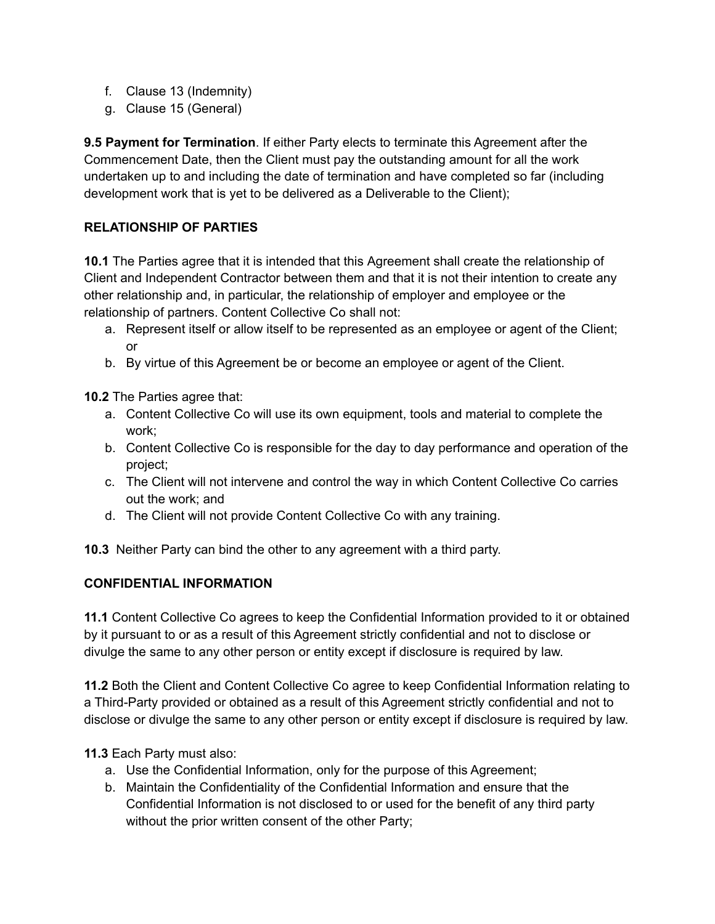- f. Clause 13 (Indemnity)
- g. Clause 15 (General)

**9.5 Payment for Termination**. If either Party elects to terminate this Agreement after the Commencement Date, then the Client must pay the outstanding amount for all the work undertaken up to and including the date of termination and have completed so far (including development work that is yet to be delivered as a Deliverable to the Client);

### **RELATIONSHIP OF PARTIES**

**10.1** The Parties agree that it is intended that this Agreement shall create the relationship of Client and Independent Contractor between them and that it is not their intention to create any other relationship and, in particular, the relationship of employer and employee or the relationship of partners. Content Collective Co shall not:

- a. Represent itself or allow itself to be represented as an employee or agent of the Client; or
- b. By virtue of this Agreement be or become an employee or agent of the Client.

**10.2** The Parties agree that:

- a. Content Collective Co will use its own equipment, tools and material to complete the work;
- b. Content Collective Co is responsible for the day to day performance and operation of the project;
- c. The Client will not intervene and control the way in which Content Collective Co carries out the work; and
- d. The Client will not provide Content Collective Co with any training.

**10.3** Neither Party can bind the other to any agreement with a third party.

### **CONFIDENTIAL INFORMATION**

**11.1** Content Collective Co agrees to keep the Confidential Information provided to it or obtained by it pursuant to or as a result of this Agreement strictly confidential and not to disclose or divulge the same to any other person or entity except if disclosure is required by law.

**11.2** Both the Client and Content Collective Co agree to keep Confidential Information relating to a Third-Party provided or obtained as a result of this Agreement strictly confidential and not to disclose or divulge the same to any other person or entity except if disclosure is required by law.

**11.3** Each Party must also:

- a. Use the Confidential Information, only for the purpose of this Agreement;
- b. Maintain the Confidentiality of the Confidential Information and ensure that the Confidential Information is not disclosed to or used for the benefit of any third party without the prior written consent of the other Party;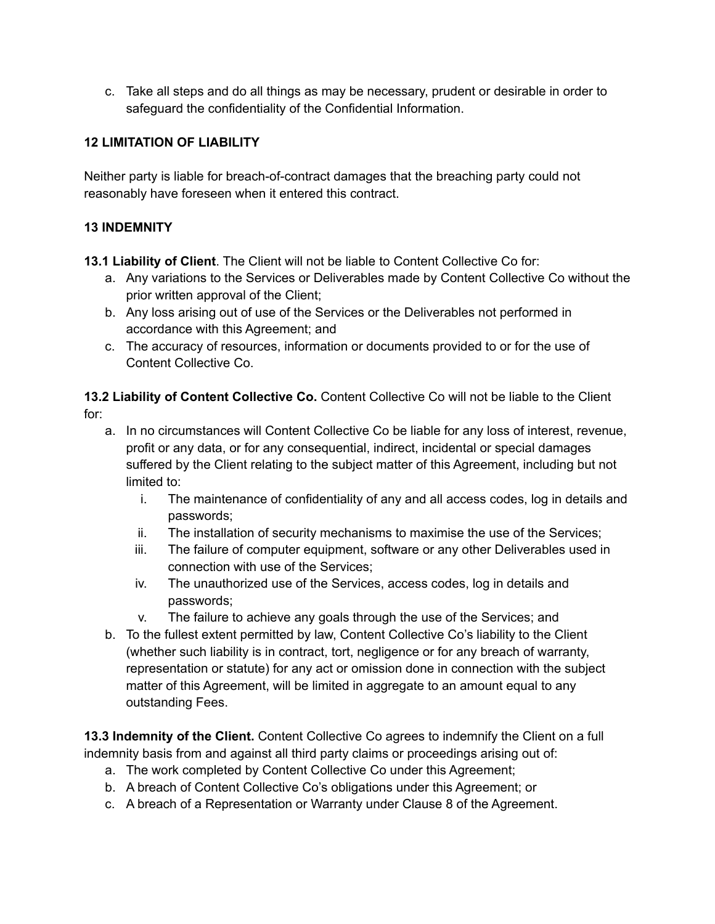c. Take all steps and do all things as may be necessary, prudent or desirable in order to safeguard the confidentiality of the Confidential Information.

### **12 LIMITATION OF LIABILITY**

Neither party is liable for breach-of-contract damages that the breaching party could not reasonably have foreseen when it entered this contract.

#### **13 INDEMNITY**

**13.1 Liability of Client**. The Client will not be liable to Content Collective Co for:

- a. Any variations to the Services or Deliverables made by Content Collective Co without the prior written approval of the Client;
- b. Any loss arising out of use of the Services or the Deliverables not performed in accordance with this Agreement; and
- c. The accuracy of resources, information or documents provided to or for the use of Content Collective Co.

**13.2 Liability of Content Collective Co.** Content Collective Co will not be liable to the Client for:

- a. In no circumstances will Content Collective Co be liable for any loss of interest, revenue, profit or any data, or for any consequential, indirect, incidental or special damages suffered by the Client relating to the subject matter of this Agreement, including but not limited to:
	- i. The maintenance of confidentiality of any and all access codes, log in details and passwords;
	- ii. The installation of security mechanisms to maximise the use of the Services;
	- iii. The failure of computer equipment, software or any other Deliverables used in connection with use of the Services;
	- iv. The unauthorized use of the Services, access codes, log in details and passwords;
	- v. The failure to achieve any goals through the use of the Services; and
- b. To the fullest extent permitted by law, Content Collective Co's liability to the Client (whether such liability is in contract, tort, negligence or for any breach of warranty, representation or statute) for any act or omission done in connection with the subject matter of this Agreement, will be limited in aggregate to an amount equal to any outstanding Fees.

**13.3 Indemnity of the Client.** Content Collective Co agrees to indemnify the Client on a full indemnity basis from and against all third party claims or proceedings arising out of:

- a. The work completed by Content Collective Co under this Agreement;
- b. A breach of Content Collective Co's obligations under this Agreement; or
- c. A breach of a Representation or Warranty under Clause 8 of the Agreement.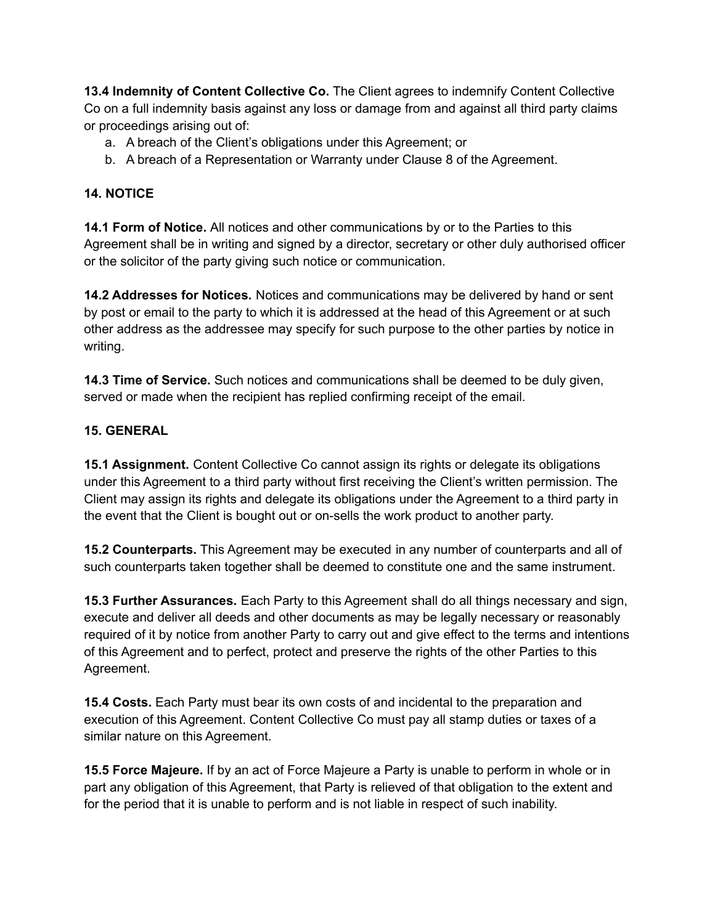**13.4 Indemnity of Content Collective Co.** The Client agrees to indemnify Content Collective Co on a full indemnity basis against any loss or damage from and against all third party claims or proceedings arising out of:

- a. A breach of the Client's obligations under this Agreement; or
- b. A breach of a Representation or Warranty under Clause 8 of the Agreement.

## **14. NOTICE**

**14.1 Form of Notice.** All notices and other communications by or to the Parties to this Agreement shall be in writing and signed by a director, secretary or other duly authorised officer or the solicitor of the party giving such notice or communication.

**14.2 Addresses for Notices.** Notices and communications may be delivered by hand or sent by post or email to the party to which it is addressed at the head of this Agreement or at such other address as the addressee may specify for such purpose to the other parties by notice in writing.

**14.3 Time of Service.** Such notices and communications shall be deemed to be duly given, served or made when the recipient has replied confirming receipt of the email.

## **15. GENERAL**

**15.1 Assignment.** Content Collective Co cannot assign its rights or delegate its obligations under this Agreement to a third party without first receiving the Client's written permission. The Client may assign its rights and delegate its obligations under the Agreement to a third party in the event that the Client is bought out or on-sells the work product to another party.

**15.2 Counterparts.** This Agreement may be executed in any number of counterparts and all of such counterparts taken together shall be deemed to constitute one and the same instrument.

**15.3 Further Assurances.** Each Party to this Agreement shall do all things necessary and sign, execute and deliver all deeds and other documents as may be legally necessary or reasonably required of it by notice from another Party to carry out and give effect to the terms and intentions of this Agreement and to perfect, protect and preserve the rights of the other Parties to this Agreement.

**15.4 Costs.** Each Party must bear its own costs of and incidental to the preparation and execution of this Agreement. Content Collective Co must pay all stamp duties or taxes of a similar nature on this Agreement.

**15.5 Force Majeure.** If by an act of Force Majeure a Party is unable to perform in whole or in part any obligation of this Agreement, that Party is relieved of that obligation to the extent and for the period that it is unable to perform and is not liable in respect of such inability.